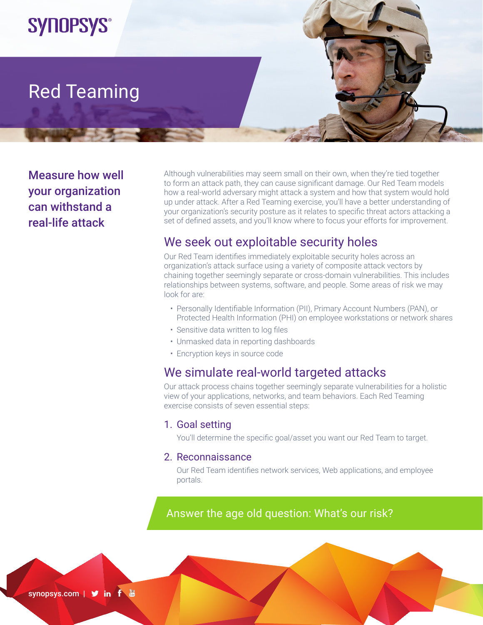

# Red Teaming

Measure how well your organization can withstand a real-life attack

Although vulnerabilities may seem small on their own, when they're tied together to form an attack path, they can cause significant damage. Our Red Team models how a real-world adversary might attack a system and how that system would hold up under attack. After a Red Teaming exercise, you'll have a better understanding of your organization's security posture as it relates to specific threat actors attacking a set of defined assets, and you'll know where to focus your efforts for improvement.

## We seek out exploitable security holes

Our Red Team identifies immediately exploitable security holes across an organization's attack surface using a variety of composite attack vectors by chaining together seemingly separate or cross-domain vulnerabilities. This includes relationships between systems, software, and people. Some areas of risk we may look for are:

- Personally Identifiable Information (PII), Primary Account Numbers (PAN), or Protected Health Information (PHI) on employee workstations or network shares
- Sensitive data written to log files
- Unmasked data in reporting dashboards
- Encryption keys in source code

## We simulate real-world targeted attacks

Our attack process chains together seemingly separate vulnerabilities for a holistic view of your applications, networks, and team behaviors. Each Red Teaming exercise consists of seven essential steps:

#### 1. Goal setting

You'll determine the specific goal/asset you want our Red Team to target.

#### 2. Reconnaissance

Our Red Team identifies network services, Web applications, and employee portals.

## Answer the age old question: What's our risk?

synopsys.com | Sin f